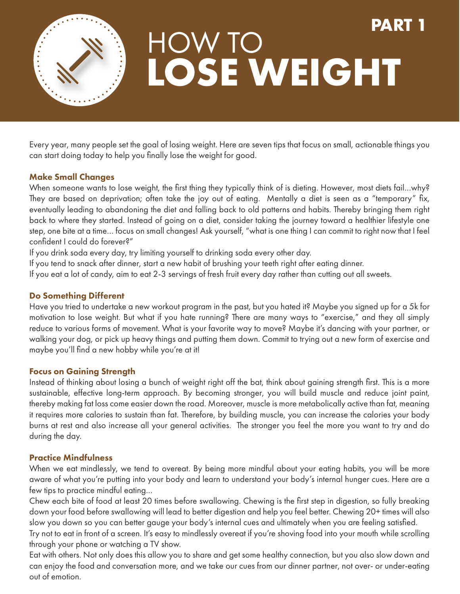

# **LOSE WEIGHT** HOW TO **PART 1**

Every year, many people set the goal of losing weight. Here are seven tips that focus on small, actionable things you can start doing today to help you finally lose the weight for good.

### Make Small Changes

When someone wants to lose weight, the first thing they typically think of is dieting. However, most diets fail...why? They are based on deprivation; often take the joy out of eating. Mentally a diet is seen as a "temporary" fix, eventually leading to abandoning the diet and falling back to old patterns and habits. Thereby bringing them right back to where they started. Instead of going on a diet, consider taking the journey toward a healthier lifestyle one step, one bite at a time… focus on small changes! Ask yourself, "what is one thing I can commit to right now that I feel confident I could do forever?"

If you drink soda every day, try limiting yourself to drinking soda every other day.

If you tend to snack after dinner, start a new habit of brushing your teeth right after eating dinner.

If you eat a lot of candy, aim to eat 2-3 servings of fresh fruit every day rather than cutting out all sweets.

### Do Something Different

Have you tried to undertake a new workout program in the past, but you hated it? Maybe you signed up for a 5k for motivation to lose weight. But what if you hate running? There are many ways to "exercise," and they all simply reduce to various forms of movement. What is your favorite way to move? Maybe it's dancing with your partner, or walking your dog, or pick up heavy things and putting them down. Commit to trying out a new form of exercise and maybe you'll find a new hobby while you're at it!

# Focus on Gaining Strength

Instead of thinking about losing a bunch of weight right off the bat, think about gaining strength first. This is a more sustainable, effective long-term approach. By becoming stronger, you will build muscle and reduce joint paint, thereby making fat loss come easier down the road. Moreover, muscle is more metabolically active than fat, meaning it requires more calories to sustain than fat. Therefore, by building muscle, you can increase the calories your body burns at rest and also increase all your general activities. The stronger you feel the more you want to try and do during the day.

### Practice Mindfulness

When we eat mindlessly, we tend to overeat. By being more mindful about your eating habits, you will be more aware of what you're putting into your body and learn to understand your body's internal hunger cues. Here are a few tips to practice mindful eating…

Chew each bite of food at least 20 times before swallowing. Chewing is the first step in digestion, so fully breaking down your food before swallowing will lead to better digestion and help you feel better. Chewing 20+ times will also slow you down so you can better gauge your body's internal cues and ultimately when you are feeling satisfied.

Try not to eat in front of a screen. It's easy to mindlessly overeat if you're shoving food into your mouth while scrolling through your phone or watching a TV show.

Eat with others. Not only does this allow you to share and get some healthy connection, but you also slow down and can enjoy the food and conversation more, and we take our cues from our dinner partner, not over- or under-eating out of emotion.